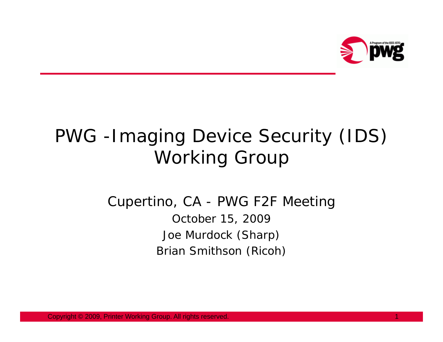

### PWG -Imaging Device Security (IDS) Working Group

#### Cupertino, CA - PWG F2F Meeting October 15, 2009 Joe Murdock (Sharp) Brian Smithson (Ricoh)

Copyright © 2009, Printer Working Group. All rights reserved. 1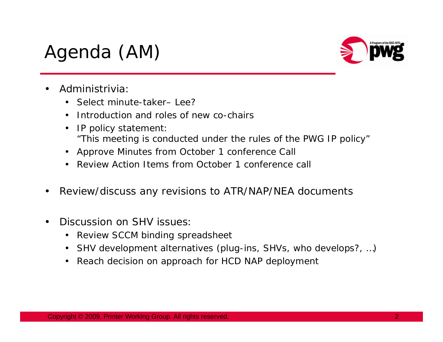## Agenda (AM)



- • Administrivia:
	- Select minute-taker– Lee?
	- •Introduction and roles of new co-chairs
	- • IP policy statement: *"This meeting is conducted under the rules of the PWG IP policy"*
	- •Approve Minutes from October 1 conference Call
	- •Review Action Items from October 1 conference call
- •Review/discuss any revisions to ATR/NAP/NEA documents
- • Discussion on SHV issues:
	- •Review SCCM binding spreadsheet
	- •SHV development alternatives (plug-ins, SHVs, who develops?, …)
	- •Reach decision on approach for HCD NAP deployment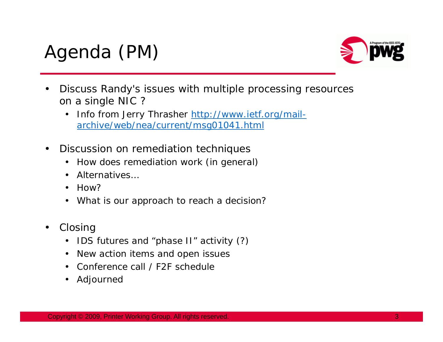# Agenda (PM)



- • Discuss Randy's issues with multiple processing resources on a single NIC ?
	- • Info from Jerry Thrasher [http://www.ietf.org/mail](http://www.ietf.org/mail-archive/web/nea/current/msg01041.html)[archive/web/nea/current/msg01041.html](http://www.ietf.org/mail-archive/web/nea/current/msg01041.html)
- • Discussion on remediation techniques
	- •How does remediation work (in general)
	- •Alternatives…
	- •H<sub>OW</sub>?
	- $\bullet$ What is our approach to reach a decision?
- • Closing
	- $\bullet$ IDS futures and "phase II" activity (?)
	- •New action items and open issues
	- •Conference call / F2F schedule
	- •Adjourned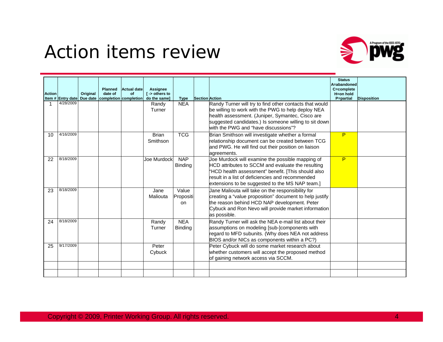#### Action items review



| <b>Action</b> |           | Original | <b>Planned</b><br>date of | <b>Actual date</b><br><b>of</b><br>Item # Entry date Due date   completion completion | Assignee<br>$I \rightarrow$ others to<br>do the same] | <b>Type</b>                  | <b>Section Action</b> |                                                                                                                                                                                                                                                                    | <b>Status</b><br>A=abandoned<br>C=complete<br>H=on hold<br>P=partial | <b>Disposition</b> |
|---------------|-----------|----------|---------------------------|---------------------------------------------------------------------------------------|-------------------------------------------------------|------------------------------|-----------------------|--------------------------------------------------------------------------------------------------------------------------------------------------------------------------------------------------------------------------------------------------------------------|----------------------------------------------------------------------|--------------------|
|               | 4/28/2009 |          |                           |                                                                                       | Randy<br>Turner                                       | <b>NEA</b>                   |                       | Randy Turner will try to find other contacts that would<br>be willing to work with the PWG to help deploy NEA<br>health assessment. (Juniper, Symantec, Cisco are<br>suggested candidates.) Is someone willing to sit down<br>with the PWG and "have discussions"? |                                                                      |                    |
| 10            | 4/16/2009 |          |                           |                                                                                       | <b>Brian</b><br>Smithson                              | <b>TCG</b>                   |                       | Brian Smithson will investigate whether a formal<br>relationship document can be created between TCG<br>and PWG. He will find out their position on liaison<br>agreements.                                                                                         | P                                                                    |                    |
| 22            | 8/18/2009 |          |                           |                                                                                       | Joe Murdock                                           | <b>NAP</b><br><b>Binding</b> |                       | Joe Murdock will examine the possible mapping of<br>HCD attributes to SCCM and evaluate the resulting<br>"HCD health assessment" benefit. [This should also<br>result in a list of deficiencies and recommended<br>extensions to be suggested to the MS NAP team.] | P                                                                    |                    |
| 23            | 8/18/2009 |          |                           |                                                                                       | Jane<br>Maliouta                                      | Value<br>Propositi<br>on     |                       | Jane Maliouta will take on the responsibility for<br>creating a "value proposition" document to help justify<br>the reason behind HCD NAP development. Peter<br>Cybuck and Ron Nevo will provide market information<br>as possible.                                |                                                                      |                    |
| 24            | 8/18/2009 |          |                           |                                                                                       | Randy<br>Turner                                       | <b>NEA</b><br><b>Binding</b> |                       | Randy Turner will ask the NEA e-mail list about their<br>assumptions on modeling [sub-]components with<br>regard to MFD subunits. (Why does NEA not address<br>BIOS and/or NICs as components within a PC?)                                                        |                                                                      |                    |
| 25            | 9/17/2009 |          |                           |                                                                                       | Peter<br>Cybuck                                       |                              |                       | Peter Cybuck will do some market research about<br>whether customers will accept the proposed method<br>of gaining network access via SCCM.                                                                                                                        |                                                                      |                    |
|               |           |          |                           |                                                                                       |                                                       |                              |                       |                                                                                                                                                                                                                                                                    |                                                                      |                    |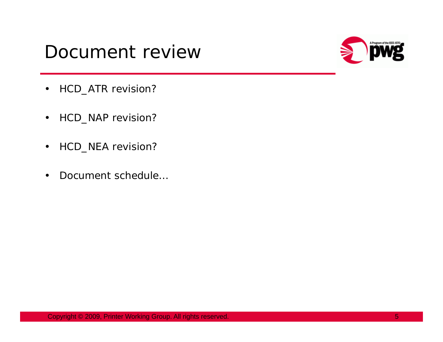#### Document review



- $\bullet$ HCD\_ATR revision?
- •HCD\_NAP revision?
- $\bullet$ HCD\_NEA revision?
- •Document schedule…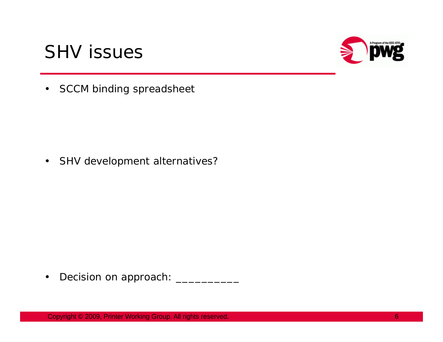



•SCCM binding spreadsheet

 $\bullet$ SHV development alternatives?

 $\bullet$ Decision on approach: \_\_\_\_\_\_\_\_\_\_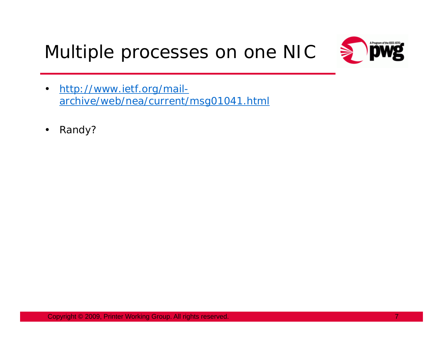Multiple processes on one NIC



- • [http://www.ietf.org/mail](http://www.ietf.org/mail-archive/web/nea/current/msg01041.html)[archive/web/nea/current/msg01041.html](http://www.ietf.org/mail-archive/web/nea/current/msg01041.html)
- •Randy?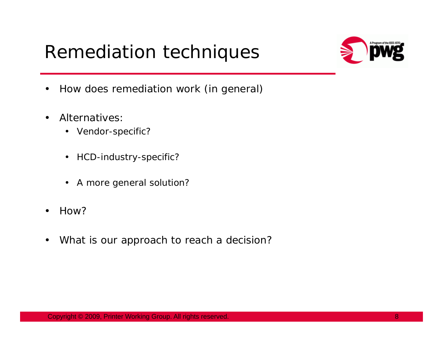### Remediation techniques



- •How does remediation work (in general)
- • Alternatives:
	- Vendor-specific?
	- $\bullet$ HCD-industry-specific?
	- $\bullet$ A more general solution?
- •How?
- •What is our approach to reach a decision?